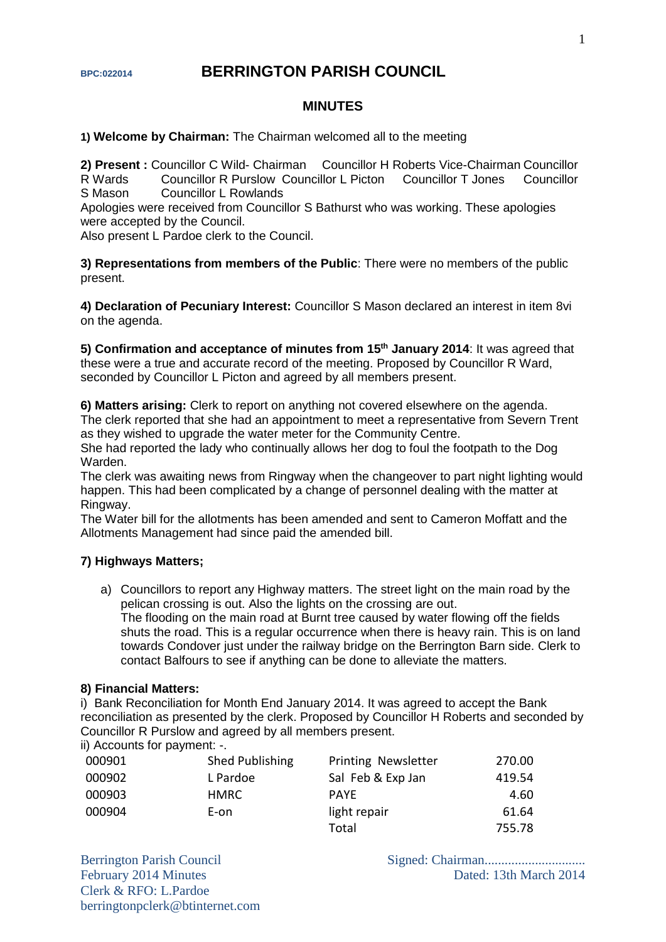# **BPC:022014 BERRINGTON PARISH COUNCIL**

## **MINUTES**

**1) Welcome by Chairman:** The Chairman welcomed all to the meeting

2) Present : Councillor C Wild- Chairman Councillor H Roberts Vice-Chairman Councillor R Wards Councillor R Purslow Councillor L Picton Councillor T Jones Councillor S Mason Councillor L Rowlands

Apologies were received from Councillor S Bathurst who was working. These apologies were accepted by the Council.

Also present L Pardoe clerk to the Council.

**3) Representations from members of the Public**: There were no members of the public present.

**4) Declaration of Pecuniary Interest:** Councillor S Mason declared an interest in item 8vi on the agenda.

**5) Confirmation and acceptance of minutes from 15th January 2014**: It was agreed that these were a true and accurate record of the meeting. Proposed by Councillor R Ward, seconded by Councillor L Picton and agreed by all members present.

**6) Matters arising:** Clerk to report on anything not covered elsewhere on the agenda. The clerk reported that she had an appointment to meet a representative from Severn Trent as they wished to upgrade the water meter for the Community Centre.

She had reported the lady who continually allows her dog to foul the footpath to the Dog Warden.

The clerk was awaiting news from Ringway when the changeover to part night lighting would happen. This had been complicated by a change of personnel dealing with the matter at Ringway.

The Water bill for the allotments has been amended and sent to Cameron Moffatt and the Allotments Management had since paid the amended bill.

#### **7) Highways Matters;**

a) Councillors to report any Highway matters. The street light on the main road by the pelican crossing is out. Also the lights on the crossing are out. The flooding on the main road at Burnt tree caused by water flowing off the fields shuts the road. This is a regular occurrence when there is heavy rain. This is on land towards Condover just under the railway bridge on the Berrington Barn side. Clerk to contact Balfours to see if anything can be done to alleviate the matters.

#### **8) Financial Matters:**

i) Bank Reconciliation for Month End January 2014. It was agreed to accept the Bank reconciliation as presented by the clerk. Proposed by Councillor H Roberts and seconded by Councillor R Purslow and agreed by all members present.

ii) Accounts for payment: -.

| 000901 | Shed Publishing | <b>Printing Newsletter</b> | 270.00 |
|--------|-----------------|----------------------------|--------|
| 000902 | L Pardoe        | Sal Feb & Exp Jan          | 419.54 |
| 000903 | HMRC.           | <b>PAYE</b>                | 4.60   |
| 000904 | E-on            | light repair               | 61.64  |
|        |                 | Total                      | 755.78 |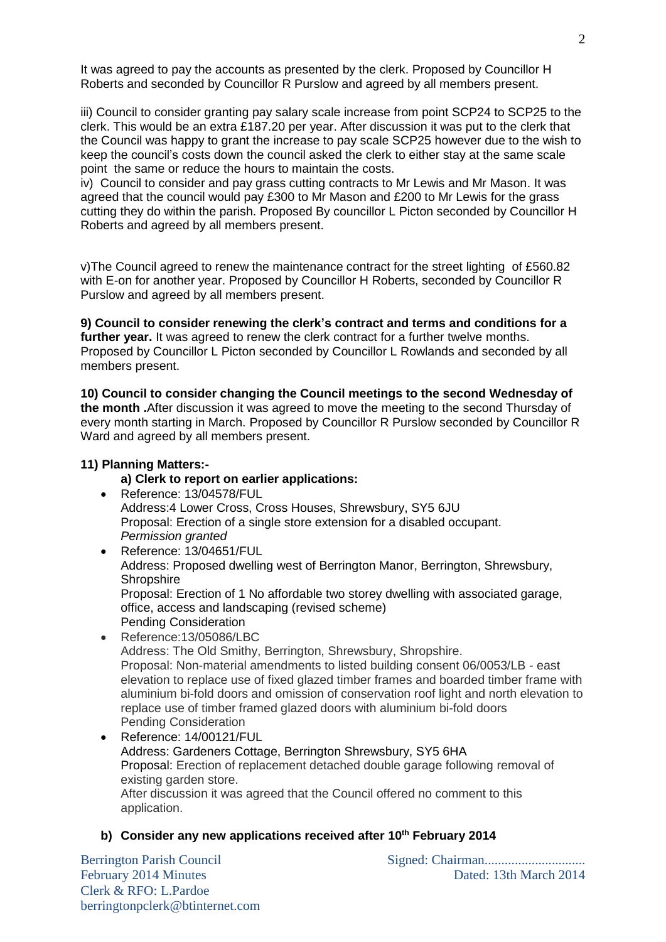It was agreed to pay the accounts as presented by the clerk. Proposed by Councillor H Roberts and seconded by Councillor R Purslow and agreed by all members present.

iii) Council to consider granting pay salary scale increase from point SCP24 to SCP25 to the clerk. This would be an extra £187.20 per year. After discussion it was put to the clerk that the Council was happy to grant the increase to pay scale SCP25 however due to the wish to keep the council's costs down the council asked the clerk to either stay at the same scale point the same or reduce the hours to maintain the costs.

iv) Council to consider and pay grass cutting contracts to Mr Lewis and Mr Mason. It was agreed that the council would pay £300 to Mr Mason and £200 to Mr Lewis for the grass cutting they do within the parish. Proposed By councillor L Picton seconded by Councillor H Roberts and agreed by all members present.

v)The Council agreed to renew the maintenance contract for the street lighting of £560.82 with E-on for another year. Proposed by Councillor H Roberts, seconded by Councillor R Purslow and agreed by all members present.

**9) Council to consider renewing the clerk's contract and terms and conditions for a**  further year. It was agreed to renew the clerk contract for a further twelve months. Proposed by Councillor L Picton seconded by Councillor L Rowlands and seconded by all members present.

**10) Council to consider changing the Council meetings to the second Wednesday of the month .**After discussion it was agreed to move the meeting to the second Thursday of every month starting in March. Proposed by Councillor R Purslow seconded by Councillor R Ward and agreed by all members present.

## **11) Planning Matters:-**

# **a) Clerk to report on earlier applications:**

- Reference: 13/04578/FUL Address:4 Lower Cross, Cross Houses, Shrewsbury, SY5 6JU Proposal: Erection of a single store extension for a disabled occupant. *Permission granted*
- Reference: 13/04651/FUL Address: Proposed dwelling west of Berrington Manor, Berrington, Shrewsbury, **Shropshire** Proposal: Erection of 1 No affordable two storey dwelling with associated garage, office, access and landscaping (revised scheme) Pending Consideration
- Reference:13/05086/LBC Address: The Old Smithy, Berrington, Shrewsbury, Shropshire. Proposal: Non-material amendments to listed building consent 06/0053/LB - east elevation to replace use of fixed glazed timber frames and boarded timber frame with aluminium bi-fold doors and omission of conservation roof light and north elevation to replace use of timber framed glazed doors with aluminium bi-fold doors Pending Consideration
- Reference: 14/00121/FUL Address: Gardeners Cottage, Berrington Shrewsbury, SY5 6HA Proposal: Erection of replacement detached double garage following removal of existing garden store. After discussion it was agreed that the Council offered no comment to this application.

# **b) Consider any new applications received after 10th February 2014**

Clerk & RFO: L.Pardoe berringtonpclerk@btinternet.com

Berrington Parish Council Signed: Chairman.............................. February 2014 Minutes Dated: 13th March 2014